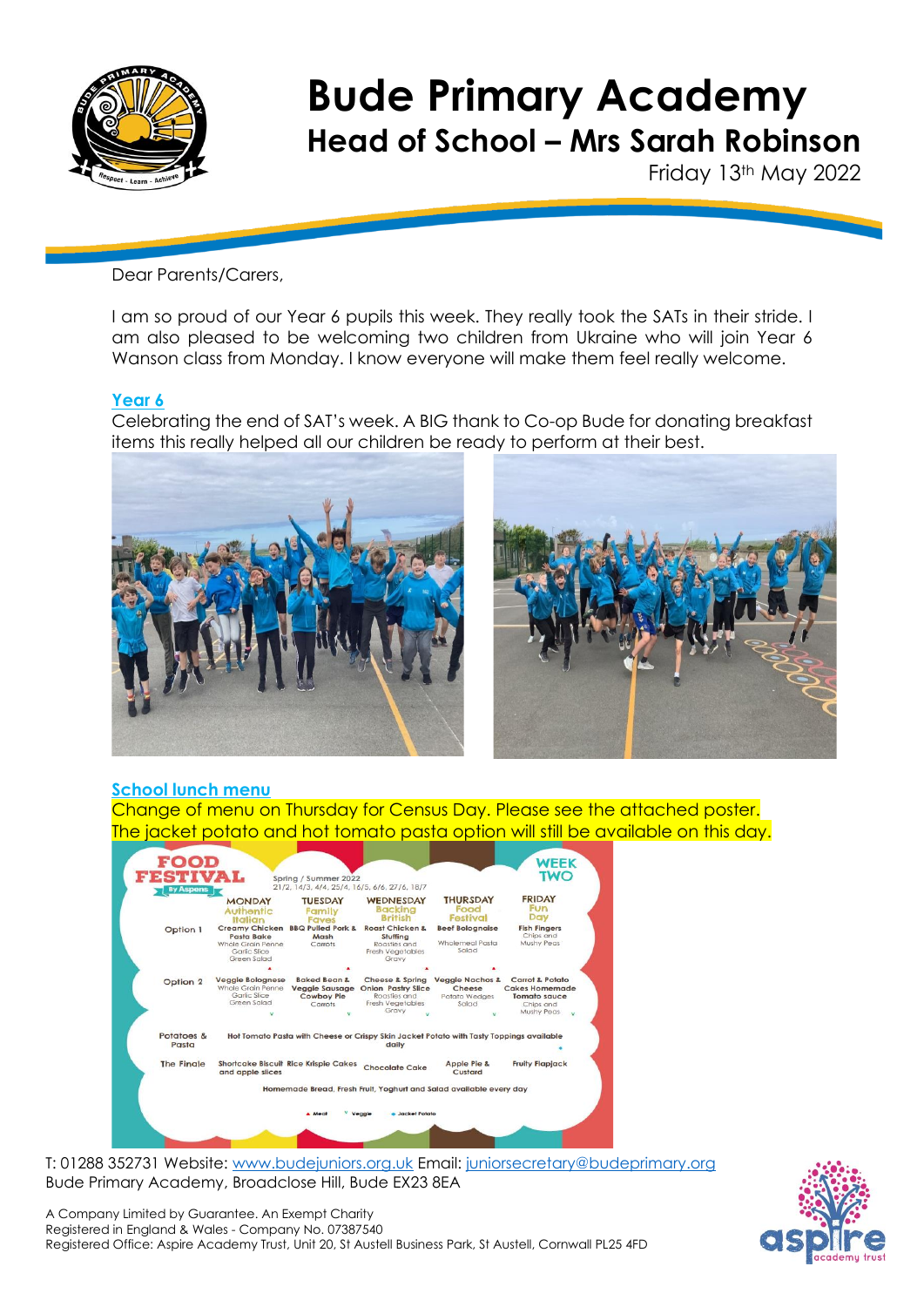

Friday 13th May 2022

Dear Parents/Carers,

I am so proud of our Year 6 pupils this week. They really took the SATs in their stride. I am also pleased to be welcoming two children from Ukraine who will join Year 6 Wanson class from Monday. I know everyone will make them feel really welcome.

### **Year 6**

Celebrating the end of SAT's week. A BIG thank to Co-op Bude for donating breakfast items this really helped all our children be ready to perform at their best.





# **School lunch menu**

Change of menu on Thursday for Census Day. Please see the attached poster. The jacket potato and hot tomato pasta option will still be available on this day.



T: 01288 352731 Website: [www.budejuniors.org.uk](http://www.budejuniors.org.uk/) Email: [juniorsecretary@budeprimary.org](mailto:juniorsecretary@budeprimary.org) Bude Primary Academy, Broadclose Hill, Bude EX23 8EA



A Company Limited by Guarantee. An Exempt Charity Registered in England & Wales - Company No. 07387540 Registered Office: Aspire Academy Trust, Unit 20, St Austell Business Park, St Austell, Cornwall PL25 4FD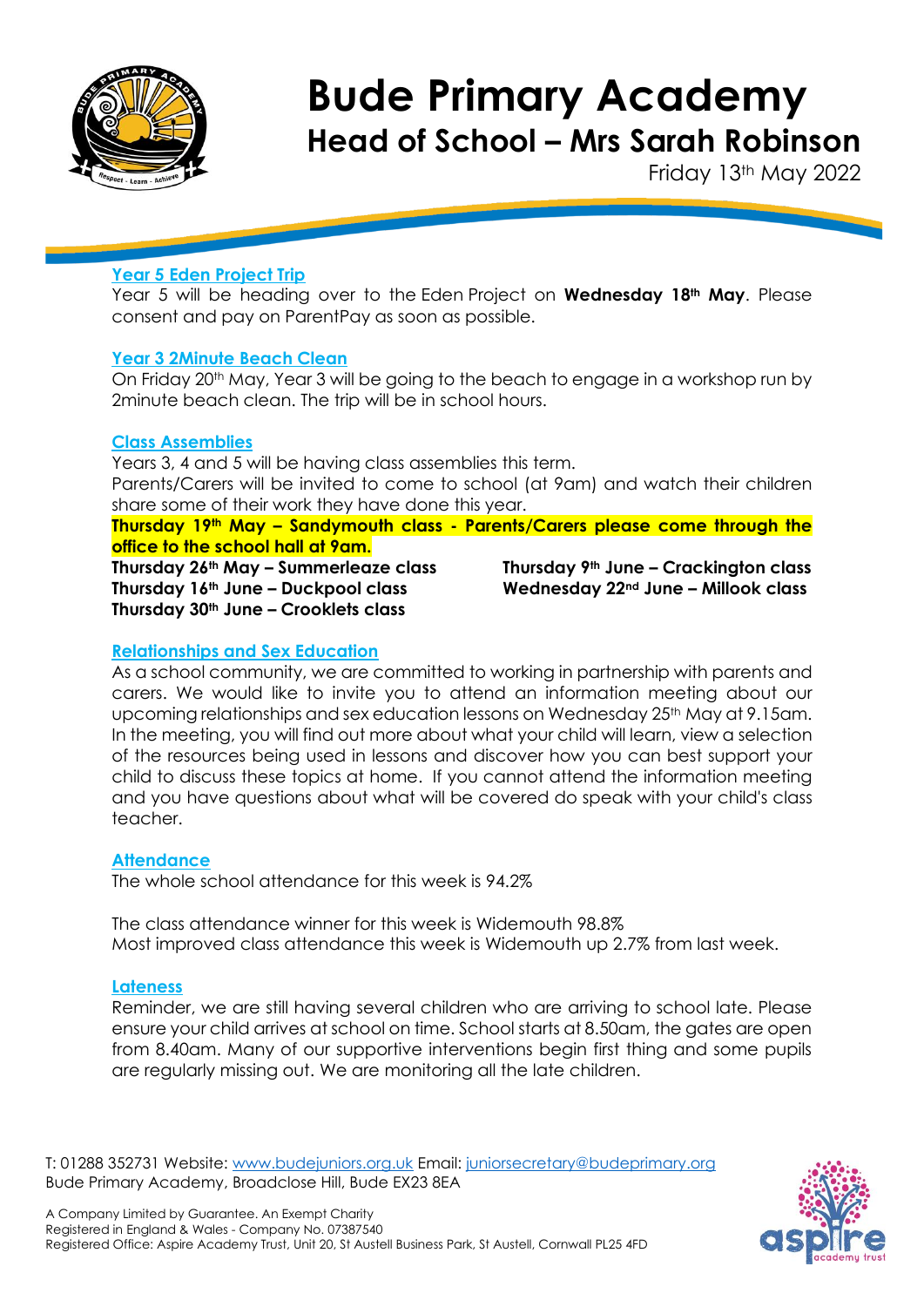

Friday 13th May 2022

# **Year 5 Eden Project Trip**

Year 5 will be heading over to the Eden Project on **Wednesday 18th May**. Please consent and pay on ParentPay as soon as possible.

### **Year 3 2Minute Beach Clean**

On Friday 20th May, Year 3 will be going to the beach to engage in a workshop run by 2minute beach clean. The trip will be in school hours.

### **Class Assemblies**

Years 3, 4 and 5 will be having class assemblies this term. Parents/Carers will be invited to come to school (at 9am) and watch their children share some of their work they have done this year.

#### **Thursday 19th May – Sandymouth class - Parents/Carers please come through the office to the school hall at 9am.**

**Thursday 26th May – Summerleaze class Thursday 9th June – Crackington class Thursday 16th June – Duckpool class Wednesday 22nd June – Millook class Thursday 30th June – Crooklets class**

### **Relationships and Sex Education**

As a school community, we are committed to working in partnership with parents and carers. We would like to invite you to attend an information meeting about our upcoming relationships and sex education lessons on Wednesday 25<sup>th</sup> May at 9.15am. In the meeting, you will find out more about what your child will learn, view a selection of the resources being used in lessons and discover how you can best support your child to discuss these topics at home. If you cannot attend the information meeting and you have questions about what will be covered do speak with your child's class teacher.

### **Attendance**

The whole school attendance for this week is 94.2%

The class attendance winner for this week is Widemouth 98.8% Most improved class attendance this week is Widemouth up 2.7% from last week.

#### **Lateness**

Reminder, we are still having several children who are arriving to school late. Please ensure your child arrives at school on time. School starts at 8.50am, the gates are open from 8.40am. Many of our supportive interventions begin first thing and some pupils are regularly missing out. We are monitoring all the late children.

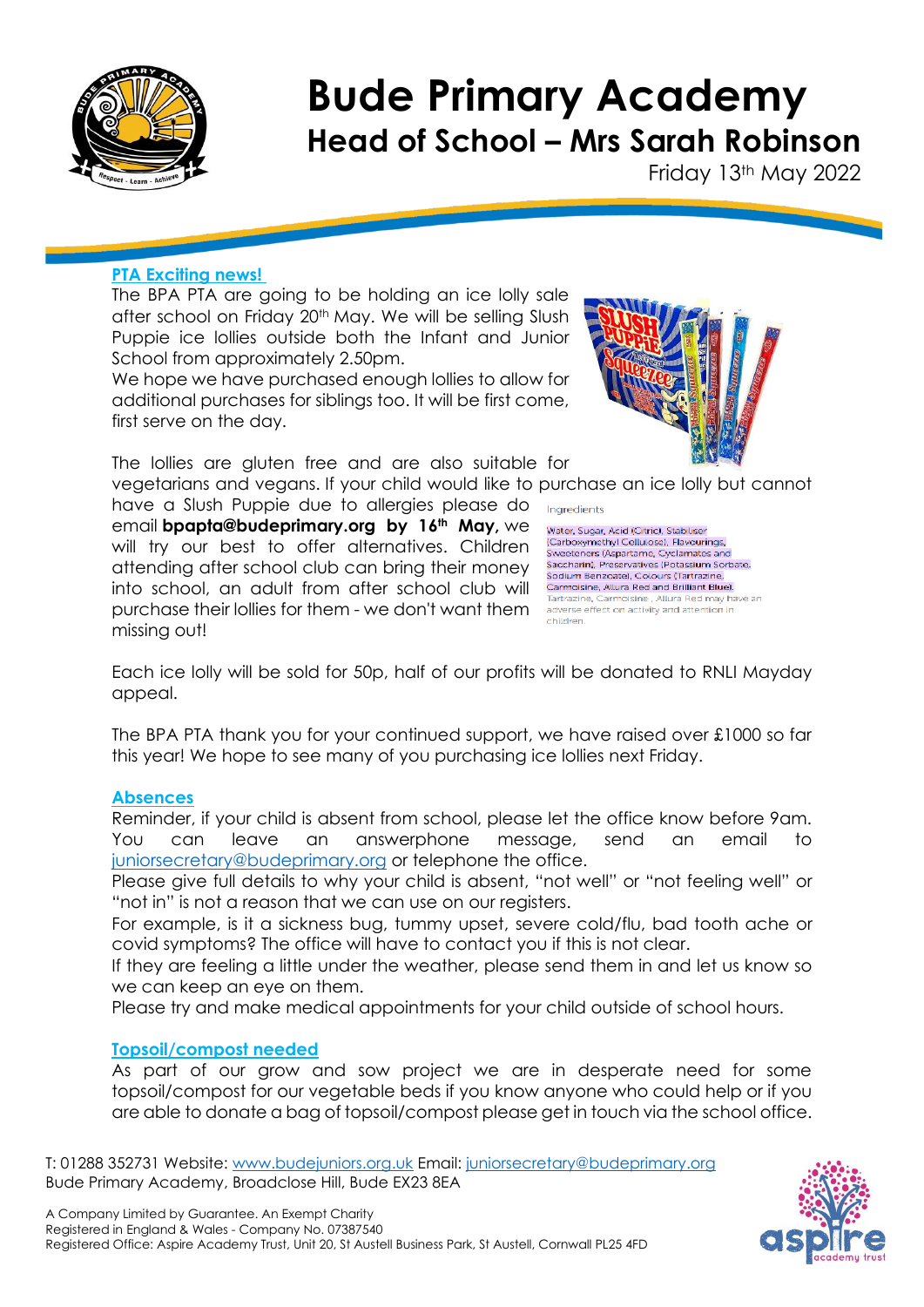

Friday 13th May 2022

# **PTA Exciting news!**

The BPA PTA are going to be holding an ice lolly sale after school on Friday 20th May. We will be selling Slush Puppie ice lollies outside both the Infant and Junior School from approximately 2.50pm.

We hope we have purchased enough lollies to allow for additional purchases for siblings too. It will be first come, first serve on the day.

The lollies are gluten free and are also suitable for

vegetarians and vegans. If your child would like to purchase an ice lolly but cannot have a Slush Puppie due to allergies please do email **bpapta@budeprimary.org by 16th May,** we will try our best to offer alternatives. Children attending after school club can bring their money into school, an adult from after school club will purchase their lollies for them - we don't want them missing out!



Ingredients

.<br>Water, Sugar, Acid (Citric), Stabiliser<br>(Carboxymethyl Cellulose), Flavourings, Sweeteners (Aspartame, Cyclamates and Saccharin), Preservatives (Potassium Sorbate) Sodium Benzoate), Colours (Tartrazine, Carmoisine, Allura Red and Brilliant Blue). Tartrazine, Carmoisine, Allura Red may have an adverse effect on activity and attention in children.

Each ice lolly will be sold for 50p, half of our profits will be donated to RNLI Mayday appeal.

The BPA PTA thank you for your continued support, we have raised over £1000 so far this year! We hope to see many of you purchasing ice lollies next Friday.

#### **Absences**

Reminder, if your child is absent from school, please let the office know before 9am. You can leave an answerphone message, send an email to [juniorsecretary@budeprimary.org](mailto:juniorsecretary@budeprimary.org) or telephone the office.

Please give full details to why your child is absent, "not well" or "not feeling well" or "not in" is not a reason that we can use on our registers.

For example, is it a sickness bug, tummy upset, severe cold/flu, bad tooth ache or covid symptoms? The office will have to contact you if this is not clear.

If they are feeling a little under the weather, please send them in and let us know so we can keep an eye on them.

Please try and make medical appointments for your child outside of school hours.

# **Topsoil/compost needed**

As part of our grow and sow project we are in desperate need for some topsoil/compost for our vegetable beds if you know anyone who could help or if you are able to donate a bag of topsoil/compost please get in touch via the school office.

T: 01288 352731 Website: [www.budejuniors.org.uk](http://www.budejuniors.org.uk/) Email: [juniorsecretary@budeprimary.org](mailto:juniorsecretary@budeprimary.org) Bude Primary Academy, Broadclose Hill, Bude EX23 8EA

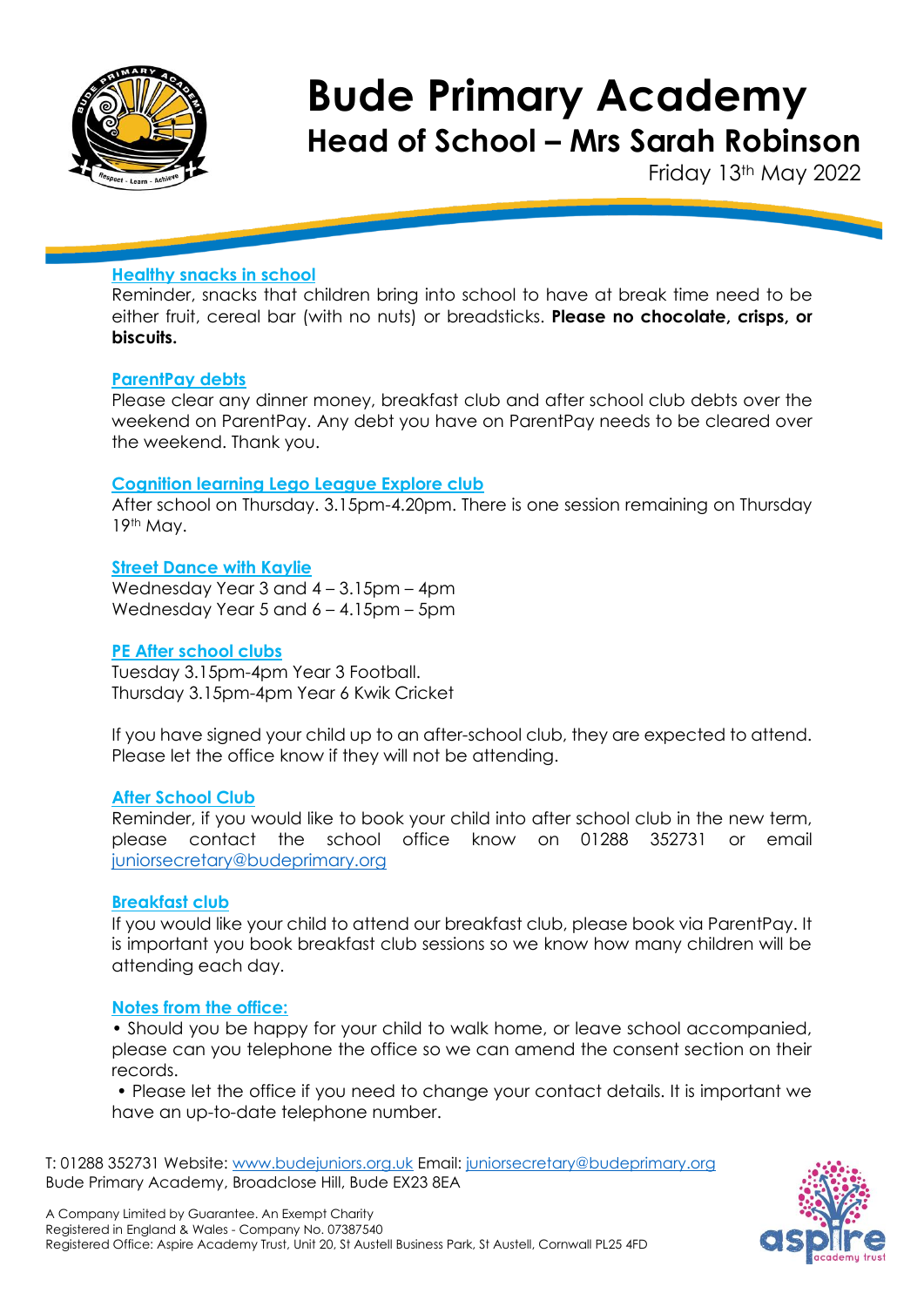

Friday 13th May 2022

# **Healthy snacks in school**

Reminder, snacks that children bring into school to have at break time need to be either fruit, cereal bar (with no nuts) or breadsticks. **Please no chocolate, crisps, or biscuits.**

#### **ParentPay debts**

Please clear any dinner money, breakfast club and after school club debts over the weekend on ParentPay. Any debt you have on ParentPay needs to be cleared over the weekend. Thank you.

#### **Cognition learning Lego League Explore club**

After school on Thursday. 3.15pm-4.20pm. There is one session remaining on Thursday 19th May.

#### **Street Dance with Kaylie**

Wednesday Year 3 and 4 – 3.15pm – 4pm Wednesday Year 5 and 6 – 4.15pm – 5pm

#### **PE After school clubs**

Tuesday 3.15pm-4pm Year 3 Football. Thursday 3.15pm-4pm Year 6 Kwik Cricket

If you have signed your child up to an after-school club, they are expected to attend. Please let the office know if they will not be attending.

#### **After School Club**

Reminder, if you would like to book your child into after school club in the new term, please contact the school office know on 01288 352731 or email [juniorsecretary@budeprimary.org](mailto:juniorsecretary@budeprimary.org) 

#### **Breakfast club**

If you would like your child to attend our breakfast club, please book via ParentPay. It is important you book breakfast club sessions so we know how many children will be attending each day.

#### **Notes from the office:**

• Should you be happy for your child to walk home, or leave school accompanied, please can you telephone the office so we can amend the consent section on their records.

• Please let the office if you need to change your contact details. It is important we have an up-to-date telephone number.